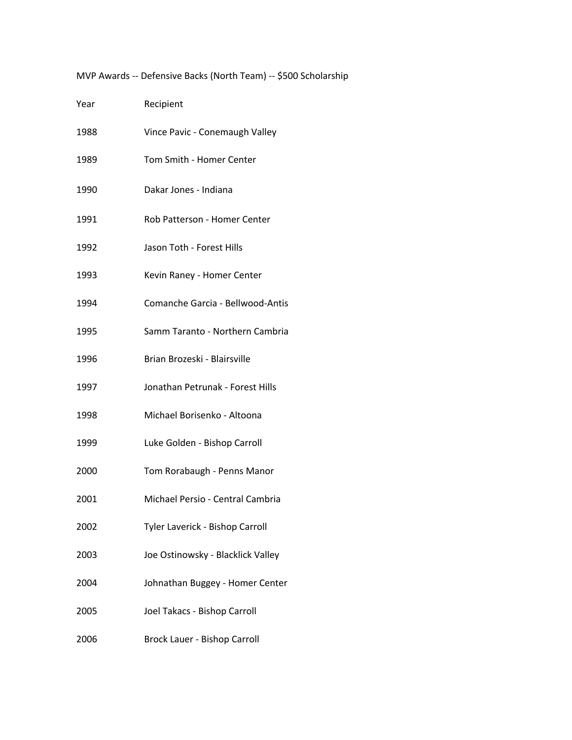MVP Awards -- Defensive Backs (North Team) -- \$500 Scholarship

| Year | Recipient                         |
|------|-----------------------------------|
| 1988 | Vince Pavic - Conemaugh Valley    |
| 1989 | Tom Smith - Homer Center          |
| 1990 | Dakar Jones - Indiana             |
| 1991 | Rob Patterson - Homer Center      |
| 1992 | Jason Toth - Forest Hills         |
| 1993 | Kevin Raney - Homer Center        |
| 1994 | Comanche Garcia - Bellwood-Antis  |
| 1995 | Samm Taranto - Northern Cambria   |
| 1996 | Brian Brozeski - Blairsville      |
| 1997 | Jonathan Petrunak - Forest Hills  |
| 1998 | Michael Borisenko - Altoona       |
| 1999 | Luke Golden - Bishop Carroll      |
| 2000 | Tom Rorabaugh - Penns Manor       |
| 2001 | Michael Persio - Central Cambria  |
| 2002 | Tyler Laverick - Bishop Carroll   |
| 2003 | Joe Ostinowsky - Blacklick Valley |
| 2004 | Johnathan Buggey - Homer Center   |
| 2005 | Joel Takacs - Bishop Carroll      |
| 2006 | Brock Lauer - Bishop Carroll      |